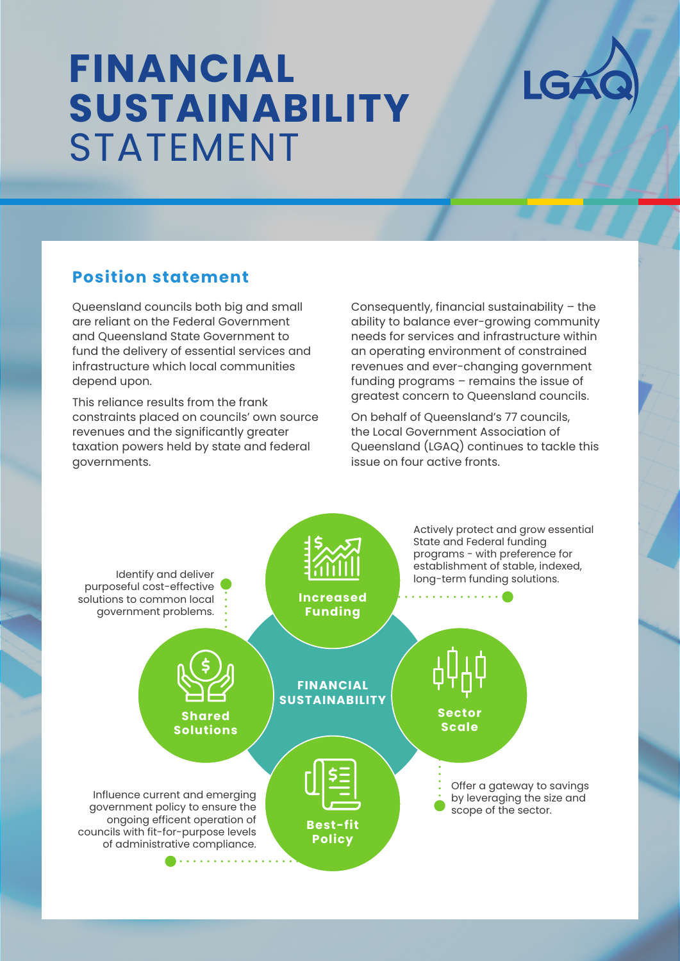# **FINANCIAL SUSTAINABILITY** STATEMENT



## **Position statement**

Queensland councils both big and small are reliant on the Federal Government and Queensland State Government to fund the delivery of essential services and infrastructure which local communities depend upon.

This reliance results from the frank constraints placed on councils' own source revenues and the significantly greater taxation powers held by state and federal governments.

Consequently, financial sustainability – the ability to balance ever-growing community needs for services and infrastructure within an operating environment of constrained revenues and ever-changing government funding programs – remains the issue of greatest concern to Queensland councils.

On behalf of Queensland's 77 councils, the Local Government Association of Queensland (LGAQ) continues to tackle this issue on four active fronts.